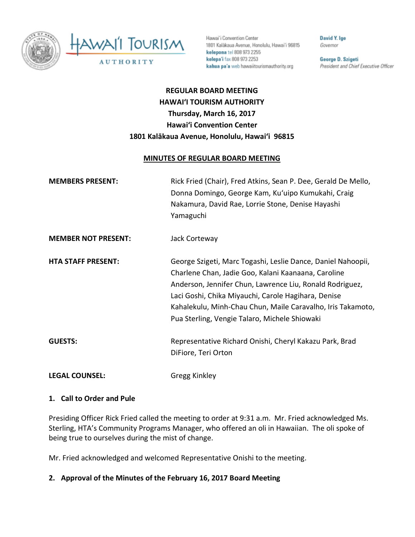

Hawai'i Convention Center 1801 Kalâkaua Avenue, Honolulu, Hawai'i 96815 kelepona tel 808 973 2255 kelepa'i fax 808 973 2253 kahua pa'a web hawaiitourismauthority.org

David Y. Ige Governor

George D. Szigeti President and Chief Executive Officer

# **REGULAR BOARD MEETING HAWAI'I TOURISM AUTHORITY Thursday, March 16, 2017 Hawai'i Convention Center 1801 Kalākaua Avenue, Honolulu, Hawai'i 96815**

#### **MINUTES OF REGULAR BOARD MEETING**

| <b>MEMBERS PRESENT:</b>    | Rick Fried (Chair), Fred Atkins, Sean P. Dee, Gerald De Mello,<br>Donna Domingo, George Kam, Ku'uipo Kumukahi, Craig<br>Nakamura, David Rae, Lorrie Stone, Denise Hayashi<br>Yamaguchi                                                                                                                                                                 |
|----------------------------|--------------------------------------------------------------------------------------------------------------------------------------------------------------------------------------------------------------------------------------------------------------------------------------------------------------------------------------------------------|
| <b>MEMBER NOT PRESENT:</b> | Jack Corteway                                                                                                                                                                                                                                                                                                                                          |
| <b>HTA STAFF PRESENT:</b>  | George Szigeti, Marc Togashi, Leslie Dance, Daniel Nahoopii,<br>Charlene Chan, Jadie Goo, Kalani Kaanaana, Caroline<br>Anderson, Jennifer Chun, Lawrence Liu, Ronald Rodriguez,<br>Laci Goshi, Chika Miyauchi, Carole Hagihara, Denise<br>Kahalekulu, Minh-Chau Chun, Maile Caravalho, Iris Takamoto,<br>Pua Sterling, Vengie Talaro, Michele Shiowaki |
| <b>GUESTS:</b>             | Representative Richard Onishi, Cheryl Kakazu Park, Brad<br>DiFiore, Teri Orton                                                                                                                                                                                                                                                                         |
| <b>LEGAL COUNSEL:</b>      | Gregg Kinkley                                                                                                                                                                                                                                                                                                                                          |

#### **1. Call to Order and Pule**

Presiding Officer Rick Fried called the meeting to order at 9:31 a.m. Mr. Fried acknowledged Ms. Sterling, HTA's Community Programs Manager, who offered an oli in Hawaiian. The oli spoke of being true to ourselves during the mist of change.

Mr. Fried acknowledged and welcomed Representative Onishi to the meeting.

### **2. Approval of the Minutes of the February 16, 2017 Board Meeting**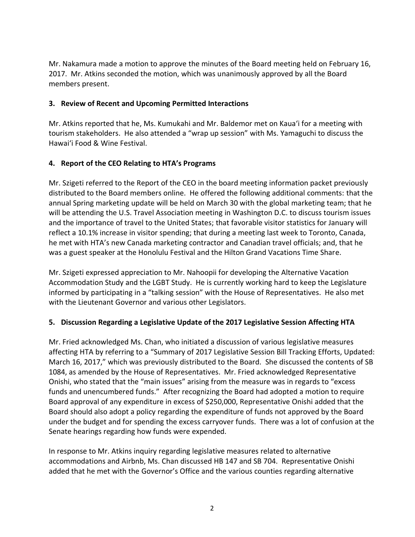Mr. Nakamura made a motion to approve the minutes of the Board meeting held on February 16, 2017. Mr. Atkins seconded the motion, which was unanimously approved by all the Board members present.

#### **3. Review of Recent and Upcoming Permitted Interactions**

Mr. Atkins reported that he, Ms. Kumukahi and Mr. Baldemor met on Kaua'i for a meeting with tourism stakeholders. He also attended a "wrap up session" with Ms. Yamaguchi to discuss the Hawai'i Food & Wine Festival.

#### **4. Report of the CEO Relating to HTA's Programs**

Mr. Szigeti referred to the Report of the CEO in the board meeting information packet previously distributed to the Board members online. He offered the following additional comments: that the annual Spring marketing update will be held on March 30 with the global marketing team; that he will be attending the U.S. Travel Association meeting in Washington D.C. to discuss tourism issues and the importance of travel to the United States; that favorable visitor statistics for January will reflect a 10.1% increase in visitor spending; that during a meeting last week to Toronto, Canada, he met with HTA's new Canada marketing contractor and Canadian travel officials; and, that he was a guest speaker at the Honolulu Festival and the Hilton Grand Vacations Time Share.

Mr. Szigeti expressed appreciation to Mr. Nahoopii for developing the Alternative Vacation Accommodation Study and the LGBT Study. He is currently working hard to keep the Legislature informed by participating in a "talking session" with the House of Representatives. He also met with the Lieutenant Governor and various other Legislators.

### **5. Discussion Regarding a Legislative Update of the 2017 Legislative Session Affecting HTA**

Mr. Fried acknowledged Ms. Chan, who initiated a discussion of various legislative measures affecting HTA by referring to a "Summary of 2017 Legislative Session Bill Tracking Efforts, Updated: March 16, 2017," which was previously distributed to the Board. She discussed the contents of SB 1084, as amended by the House of Representatives. Mr. Fried acknowledged Representative Onishi, who stated that the "main issues" arising from the measure was in regards to "excess funds and unencumbered funds." After recognizing the Board had adopted a motion to require Board approval of any expenditure in excess of \$250,000, Representative Onishi added that the Board should also adopt a policy regarding the expenditure of funds not approved by the Board under the budget and for spending the excess carryover funds. There was a lot of confusion at the Senate hearings regarding how funds were expended.

In response to Mr. Atkins inquiry regarding legislative measures related to alternative accommodations and Airbnb, Ms. Chan discussed HB 147 and SB 704. Representative Onishi added that he met with the Governor's Office and the various counties regarding alternative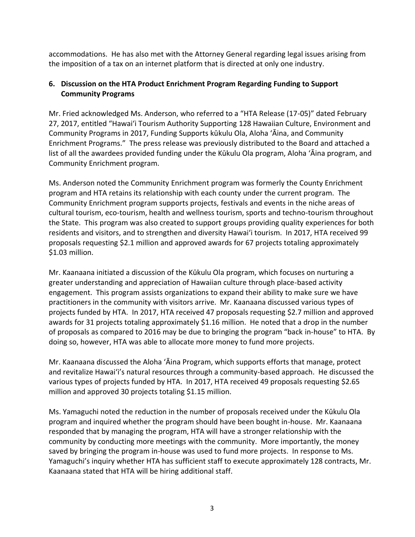accommodations. He has also met with the Attorney General regarding legal issues arising from the imposition of a tax on an internet platform that is directed at only one industry.

# **6. Discussion on the HTA Product Enrichment Program Regarding Funding to Support Community Programs**

Mr. Fried acknowledged Ms. Anderson, who referred to a "HTA Release (17-05)" dated February 27, 2017, entitled "Hawai'i Tourism Authority Supporting 128 Hawaiian Culture, Environment and Community Programs in 2017, Funding Supports kūkulu Ola, Aloha 'Āina, and Community Enrichment Programs." The press release was previously distributed to the Board and attached a list of all the awardees provided funding under the Kūkulu Ola program, Aloha 'Āina program, and Community Enrichment program.

Ms. Anderson noted the Community Enrichment program was formerly the County Enrichment program and HTA retains its relationship with each county under the current program. The Community Enrichment program supports projects, festivals and events in the niche areas of cultural tourism, eco-tourism, health and wellness tourism, sports and techno-tourism throughout the State. This program was also created to support groups providing quality experiences for both residents and visitors, and to strengthen and diversity Hawai'i tourism. In 2017, HTA received 99 proposals requesting \$2.1 million and approved awards for 67 projects totaling approximately \$1.03 million.

Mr. Kaanaana initiated a discussion of the Kūkulu Ola program, which focuses on nurturing a greater understanding and appreciation of Hawaiian culture through place-based activity engagement. This program assists organizations to expand their ability to make sure we have practitioners in the community with visitors arrive. Mr. Kaanaana discussed various types of projects funded by HTA. In 2017, HTA received 47 proposals requesting \$2.7 million and approved awards for 31 projects totaling approximately \$1.16 million. He noted that a drop in the number of proposals as compared to 2016 may be due to bringing the program "back in-house" to HTA. By doing so, however, HTA was able to allocate more money to fund more projects.

Mr. Kaanaana discussed the Aloha 'Āina Program, which supports efforts that manage, protect and revitalize Hawai'i's natural resources through a community-based approach. He discussed the various types of projects funded by HTA. In 2017, HTA received 49 proposals requesting \$2.65 million and approved 30 projects totaling \$1.15 million.

Ms. Yamaguchi noted the reduction in the number of proposals received under the Kūkulu Ola program and inquired whether the program should have been bought in-house. Mr. Kaanaana responded that by managing the program, HTA will have a stronger relationship with the community by conducting more meetings with the community. More importantly, the money saved by bringing the program in-house was used to fund more projects. In response to Ms. Yamaguchi's inquiry whether HTA has sufficient staff to execute approximately 128 contracts, Mr. Kaanaana stated that HTA will be hiring additional staff.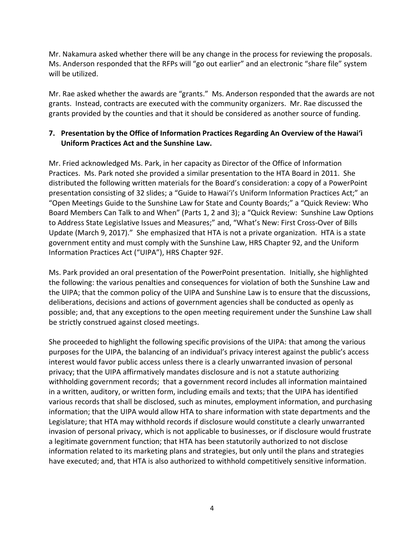Mr. Nakamura asked whether there will be any change in the process for reviewing the proposals. Ms. Anderson responded that the RFPs will "go out earlier" and an electronic "share file" system will be utilized.

Mr. Rae asked whether the awards are "grants." Ms. Anderson responded that the awards are not grants. Instead, contracts are executed with the community organizers. Mr. Rae discussed the grants provided by the counties and that it should be considered as another source of funding.

# **7. Presentation by the Office of Information Practices Regarding An Overview of the Hawai'i Uniform Practices Act and the Sunshine Law.**

Mr. Fried acknowledged Ms. Park, in her capacity as Director of the Office of Information Practices. Ms. Park noted she provided a similar presentation to the HTA Board in 2011. She distributed the following written materials for the Board's consideration: a copy of a PowerPoint presentation consisting of 32 slides; a "Guide to Hawai'i's Uniform Information Practices Act;" an "Open Meetings Guide to the Sunshine Law for State and County Boards;" a "Quick Review: Who Board Members Can Talk to and When" (Parts 1, 2 and 3); a "Quick Review: Sunshine Law Options to Address State Legislative Issues and Measures;" and, "What's New: First Cross-Over of Bills Update (March 9, 2017)." She emphasized that HTA is not a private organization. HTA is a state government entity and must comply with the Sunshine Law, HRS Chapter 92, and the Uniform Information Practices Act ("UIPA"), HRS Chapter 92F.

Ms. Park provided an oral presentation of the PowerPoint presentation. Initially, she highlighted the following: the various penalties and consequences for violation of both the Sunshine Law and the UIPA; that the common policy of the UIPA and Sunshine Law is to ensure that the discussions, deliberations, decisions and actions of government agencies shall be conducted as openly as possible; and, that any exceptions to the open meeting requirement under the Sunshine Law shall be strictly construed against closed meetings.

She proceeded to highlight the following specific provisions of the UIPA: that among the various purposes for the UIPA, the balancing of an individual's privacy interest against the public's access interest would favor public access unless there is a clearly unwarranted invasion of personal privacy; that the UIPA affirmatively mandates disclosure and is not a statute authorizing withholding government records; that a government record includes all information maintained in a written, auditory, or written form, including emails and texts; that the UIPA has identified various records that shall be disclosed, such as minutes, employment information, and purchasing information; that the UIPA would allow HTA to share information with state departments and the Legislature; that HTA may withhold records if disclosure would constitute a clearly unwarranted invasion of personal privacy, which is not applicable to businesses, or if disclosure would frustrate a legitimate government function; that HTA has been statutorily authorized to not disclose information related to its marketing plans and strategies, but only until the plans and strategies have executed; and, that HTA is also authorized to withhold competitively sensitive information.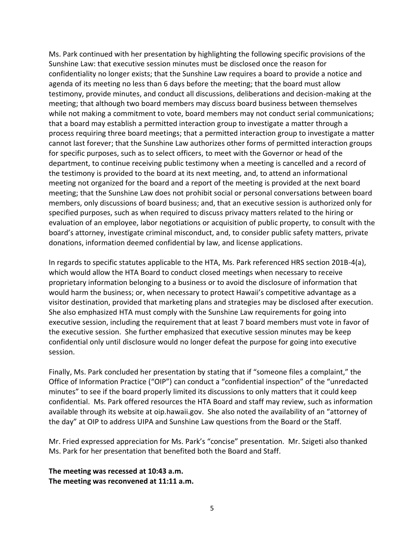Ms. Park continued with her presentation by highlighting the following specific provisions of the Sunshine Law: that executive session minutes must be disclosed once the reason for confidentiality no longer exists; that the Sunshine Law requires a board to provide a notice and agenda of its meeting no less than 6 days before the meeting; that the board must allow testimony, provide minutes, and conduct all discussions, deliberations and decision-making at the meeting; that although two board members may discuss board business between themselves while not making a commitment to vote, board members may not conduct serial communications; that a board may establish a permitted interaction group to investigate a matter through a process requiring three board meetings; that a permitted interaction group to investigate a matter cannot last forever; that the Sunshine Law authorizes other forms of permitted interaction groups for specific purposes, such as to select officers, to meet with the Governor or head of the department, to continue receiving public testimony when a meeting is cancelled and a record of the testimony is provided to the board at its next meeting, and, to attend an informational meeting not organized for the board and a report of the meeting is provided at the next board meeting; that the Sunshine Law does not prohibit social or personal conversations between board members, only discussions of board business; and, that an executive session is authorized only for specified purposes, such as when required to discuss privacy matters related to the hiring or evaluation of an employee, labor negotiations or acquisition of public property, to consult with the board's attorney, investigate criminal misconduct, and, to consider public safety matters, private donations, information deemed confidential by law, and license applications.

In regards to specific statutes applicable to the HTA, Ms. Park referenced HRS section 201B-4(a), which would allow the HTA Board to conduct closed meetings when necessary to receive proprietary information belonging to a business or to avoid the disclosure of information that would harm the business; or, when necessary to protect Hawaii's competitive advantage as a visitor destination, provided that marketing plans and strategies may be disclosed after execution. She also emphasized HTA must comply with the Sunshine Law requirements for going into executive session, including the requirement that at least 7 board members must vote in favor of the executive session. She further emphasized that executive session minutes may be keep confidential only until disclosure would no longer defeat the purpose for going into executive session.

Finally, Ms. Park concluded her presentation by stating that if "someone files a complaint," the Office of Information Practice ("OIP") can conduct a "confidential inspection" of the "unredacted minutes" to see if the board properly limited its discussions to only matters that it could keep confidential. Ms. Park offered resources the HTA Board and staff may review, such as information available through its website at oip.hawaii.gov. She also noted the availability of an "attorney of the day" at OIP to address UIPA and Sunshine Law questions from the Board or the Staff.

Mr. Fried expressed appreciation for Ms. Park's "concise" presentation. Mr. Szigeti also thanked Ms. Park for her presentation that benefited both the Board and Staff.

**The meeting was recessed at 10:43 a.m. The meeting was reconvened at 11:11 a.m.**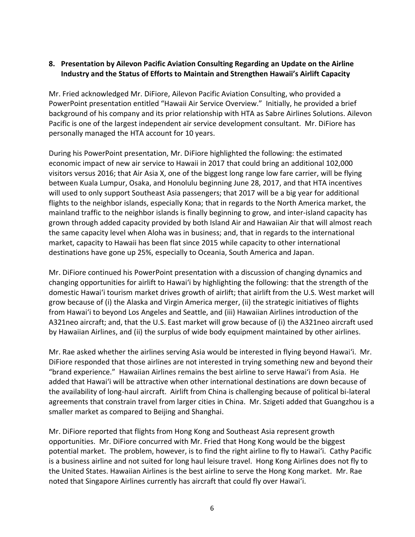#### **8. Presentation by Ailevon Pacific Aviation Consulting Regarding an Update on the Airline Industry and the Status of Efforts to Maintain and Strengthen Hawaii's Airlift Capacity**

Mr. Fried acknowledged Mr. DiFiore, Ailevon Pacific Aviation Consulting, who provided a PowerPoint presentation entitled "Hawaii Air Service Overview." Initially, he provided a brief background of his company and its prior relationship with HTA as Sabre Airlines Solutions. Ailevon Pacific is one of the largest independent air service development consultant. Mr. DiFiore has personally managed the HTA account for 10 years.

During his PowerPoint presentation, Mr. DiFiore highlighted the following: the estimated economic impact of new air service to Hawaii in 2017 that could bring an additional 102,000 visitors versus 2016; that Air Asia X, one of the biggest long range low fare carrier, will be flying between Kuala Lumpur, Osaka, and Honolulu beginning June 28, 2017, and that HTA incentives will used to only support Southeast Asia passengers; that 2017 will be a big year for additional flights to the neighbor islands, especially Kona; that in regards to the North America market, the mainland traffic to the neighbor islands is finally beginning to grow, and inter-island capacity has grown through added capacity provided by both Island Air and Hawaiian Air that will almost reach the same capacity level when Aloha was in business; and, that in regards to the international market, capacity to Hawaii has been flat since 2015 while capacity to other international destinations have gone up 25%, especially to Oceania, South America and Japan.

Mr. DiFiore continued his PowerPoint presentation with a discussion of changing dynamics and changing opportunities for airlift to Hawai'i by highlighting the following: that the strength of the domestic Hawai'i tourism market drives growth of airlift; that airlift from the U.S. West market will grow because of (i) the Alaska and Virgin America merger, (ii) the strategic initiatives of flights from Hawai'i to beyond Los Angeles and Seattle, and (iii) Hawaiian Airlines introduction of the A321neo aircraft; and, that the U.S. East market will grow because of (i) the A321neo aircraft used by Hawaiian Airlines, and (ii) the surplus of wide body equipment maintained by other airlines.

Mr. Rae asked whether the airlines serving Asia would be interested in flying beyond Hawai'i. Mr. DiFiore responded that those airlines are not interested in trying something new and beyond their "brand experience." Hawaiian Airlines remains the best airline to serve Hawai'i from Asia. He added that Hawai'i will be attractive when other international destinations are down because of the availability of long-haul aircraft. Airlift from China is challenging because of political bi-lateral agreements that constrain travel from larger cities in China. Mr. Szigeti added that Guangzhou is a smaller market as compared to Beijing and Shanghai.

Mr. DiFiore reported that flights from Hong Kong and Southeast Asia represent growth opportunities. Mr. DiFiore concurred with Mr. Fried that Hong Kong would be the biggest potential market. The problem, however, is to find the right airline to fly to Hawai'i. Cathy Pacific is a business airline and not suited for long haul leisure travel. Hong Kong Airlines does not fly to the United States. Hawaiian Airlines is the best airline to serve the Hong Kong market. Mr. Rae noted that Singapore Airlines currently has aircraft that could fly over Hawai'i.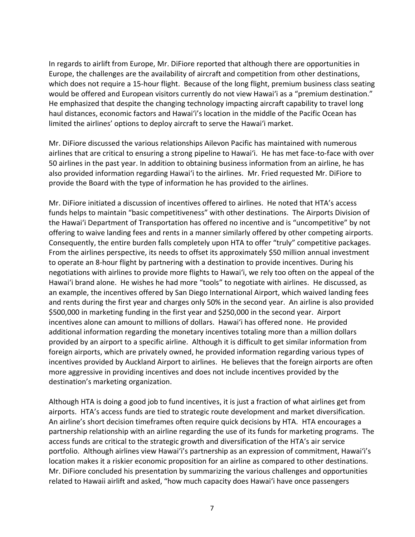In regards to airlift from Europe, Mr. DiFiore reported that although there are opportunities in Europe, the challenges are the availability of aircraft and competition from other destinations, which does not require a 15-hour flight. Because of the long flight, premium business class seating would be offered and European visitors currently do not view Hawai'i as a "premium destination." He emphasized that despite the changing technology impacting aircraft capability to travel long haul distances, economic factors and Hawai'i's location in the middle of the Pacific Ocean has limited the airlines' options to deploy aircraft to serve the Hawai'i market.

Mr. DiFiore discussed the various relationships Ailevon Pacific has maintained with numerous airlines that are critical to ensuring a strong pipeline to Hawai'i. He has met face-to-face with over 50 airlines in the past year. In addition to obtaining business information from an airline, he has also provided information regarding Hawai'i to the airlines. Mr. Fried requested Mr. DiFiore to provide the Board with the type of information he has provided to the airlines.

Mr. DiFiore initiated a discussion of incentives offered to airlines. He noted that HTA's access funds helps to maintain "basic competitiveness" with other destinations. The Airports Division of the Hawai'i Department of Transportation has offered no incentive and is "uncompetitive" by not offering to waive landing fees and rents in a manner similarly offered by other competing airports. Consequently, the entire burden falls completely upon HTA to offer "truly" competitive packages. From the airlines perspective, its needs to offset its approximately \$50 million annual investment to operate an 8-hour flight by partnering with a destination to provide incentives. During his negotiations with airlines to provide more flights to Hawai'i, we rely too often on the appeal of the Hawai'i brand alone. He wishes he had more "tools" to negotiate with airlines. He discussed, as an example, the incentives offered by San Diego International Airport, which waived landing fees and rents during the first year and charges only 50% in the second year. An airline is also provided \$500,000 in marketing funding in the first year and \$250,000 in the second year. Airport incentives alone can amount to millions of dollars. Hawai'i has offered none. He provided additional information regarding the monetary incentives totaling more than a million dollars provided by an airport to a specific airline. Although it is difficult to get similar information from foreign airports, which are privately owned, he provided information regarding various types of incentives provided by Auckland Airport to airlines. He believes that the foreign airports are often more aggressive in providing incentives and does not include incentives provided by the destination's marketing organization.

Although HTA is doing a good job to fund incentives, it is just a fraction of what airlines get from airports. HTA's access funds are tied to strategic route development and market diversification. An airline's short decision timeframes often require quick decisions by HTA. HTA encourages a partnership relationship with an airline regarding the use of its funds for marketing programs. The access funds are critical to the strategic growth and diversification of the HTA's air service portfolio. Although airlines view Hawai'i's partnership as an expression of commitment, Hawai'i's location makes it a riskier economic proposition for an airline as compared to other destinations. Mr. DiFiore concluded his presentation by summarizing the various challenges and opportunities related to Hawaii airlift and asked, "how much capacity does Hawai'i have once passengers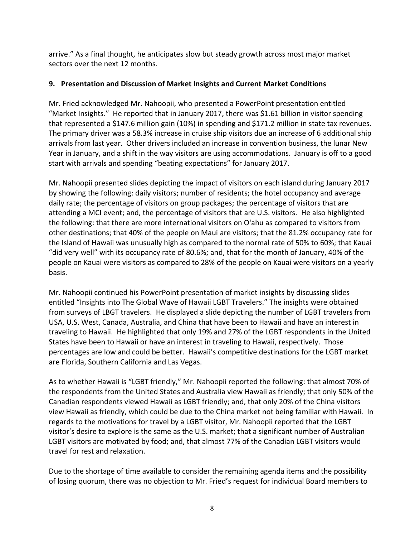arrive." As a final thought, he anticipates slow but steady growth across most major market sectors over the next 12 months.

# **9. Presentation and Discussion of Market Insights and Current Market Conditions**

Mr. Fried acknowledged Mr. Nahoopii, who presented a PowerPoint presentation entitled "Market Insights." He reported that in January 2017, there was \$1.61 billion in visitor spending that represented a \$147.6 million gain (10%) in spending and \$171.2 million in state tax revenues. The primary driver was a 58.3% increase in cruise ship visitors due an increase of 6 additional ship arrivals from last year. Other drivers included an increase in convention business, the lunar New Year in January, and a shift in the way visitors are using accommodations. January is off to a good start with arrivals and spending "beating expectations" for January 2017.

Mr. Nahoopii presented slides depicting the impact of visitors on each island during January 2017 by showing the following: daily visitors; number of residents; the hotel occupancy and average daily rate; the percentage of visitors on group packages; the percentage of visitors that are attending a MCI event; and, the percentage of visitors that are U.S. visitors. He also highlighted the following: that there are more international visitors on O'ahu as compared to visitors from other destinations; that 40% of the people on Maui are visitors; that the 81.2% occupancy rate for the Island of Hawaii was unusually high as compared to the normal rate of 50% to 60%; that Kauai "did very well" with its occupancy rate of 80.6%; and, that for the month of January, 40% of the people on Kauai were visitors as compared to 28% of the people on Kauai were visitors on a yearly basis.

Mr. Nahoopii continued his PowerPoint presentation of market insights by discussing slides entitled "Insights into The Global Wave of Hawaii LGBT Travelers." The insights were obtained from surveys of LBGT travelers. He displayed a slide depicting the number of LGBT travelers from USA, U.S. West, Canada, Australia, and China that have been to Hawaii and have an interest in traveling to Hawaii. He highlighted that only 19% and 27% of the LGBT respondents in the United States have been to Hawaii or have an interest in traveling to Hawaii, respectively. Those percentages are low and could be better. Hawaii's competitive destinations for the LGBT market are Florida, Southern California and Las Vegas.

As to whether Hawaii is "LGBT friendly," Mr. Nahoopii reported the following: that almost 70% of the respondents from the United States and Australia view Hawaii as friendly; that only 50% of the Canadian respondents viewed Hawaii as LGBT friendly; and, that only 20% of the China visitors view Hawaii as friendly, which could be due to the China market not being familiar with Hawaii. In regards to the motivations for travel by a LGBT visitor, Mr. Nahoopii reported that the LGBT visitor's desire to explore is the same as the U.S. market; that a significant number of Australian LGBT visitors are motivated by food; and, that almost 77% of the Canadian LGBT visitors would travel for rest and relaxation.

Due to the shortage of time available to consider the remaining agenda items and the possibility of losing quorum, there was no objection to Mr. Fried's request for individual Board members to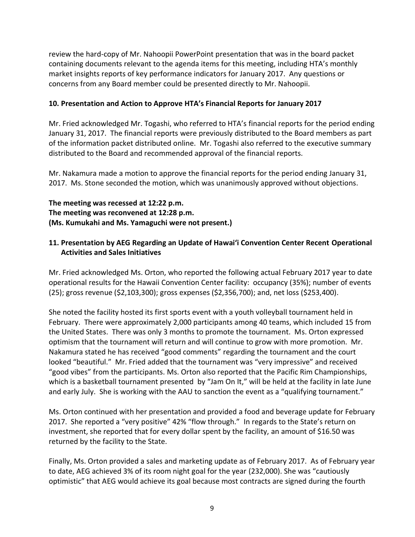review the hard-copy of Mr. Nahoopii PowerPoint presentation that was in the board packet containing documents relevant to the agenda items for this meeting, including HTA's monthly market insights reports of key performance indicators for January 2017. Any questions or concerns from any Board member could be presented directly to Mr. Nahoopii.

#### **10. Presentation and Action to Approve HTA's Financial Reports for January 2017**

Mr. Fried acknowledged Mr. Togashi, who referred to HTA's financial reports for the period ending January 31, 2017. The financial reports were previously distributed to the Board members as part of the information packet distributed online. Mr. Togashi also referred to the executive summary distributed to the Board and recommended approval of the financial reports.

Mr. Nakamura made a motion to approve the financial reports for the period ending January 31, 2017. Ms. Stone seconded the motion, which was unanimously approved without objections.

**The meeting was recessed at 12:22 p.m. The meeting was reconvened at 12:28 p.m. (Ms. Kumukahi and Ms. Yamaguchi were not present.)**

### **11. Presentation by AEG Regarding an Update of Hawai'i Convention Center Recent Operational Activities and Sales Initiatives**

Mr. Fried acknowledged Ms. Orton, who reported the following actual February 2017 year to date operational results for the Hawaii Convention Center facility: occupancy (35%); number of events (25); gross revenue (\$2,103,300); gross expenses (\$2,356,700); and, net loss (\$253,400).

She noted the facility hosted its first sports event with a youth volleyball tournament held in February. There were approximately 2,000 participants among 40 teams, which included 15 from the United States. There was only 3 months to promote the tournament. Ms. Orton expressed optimism that the tournament will return and will continue to grow with more promotion. Mr. Nakamura stated he has received "good comments" regarding the tournament and the court looked "beautiful." Mr. Fried added that the tournament was "very impressive" and received "good vibes" from the participants. Ms. Orton also reported that the Pacific Rim Championships, which is a basketball tournament presented by "Jam On It," will be held at the facility in late June and early July. She is working with the AAU to sanction the event as a "qualifying tournament."

Ms. Orton continued with her presentation and provided a food and beverage update for February 2017. She reported a "very positive" 42% "flow through." In regards to the State's return on investment, she reported that for every dollar spent by the facility, an amount of \$16.50 was returned by the facility to the State.

Finally, Ms. Orton provided a sales and marketing update as of February 2017. As of February year to date, AEG achieved 3% of its room night goal for the year (232,000). She was "cautiously optimistic" that AEG would achieve its goal because most contracts are signed during the fourth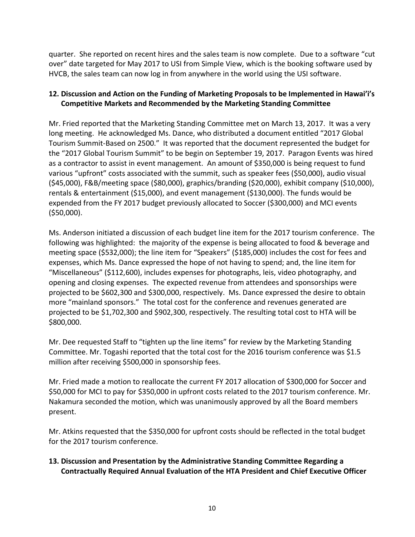quarter. She reported on recent hires and the sales team is now complete. Due to a software "cut over" date targeted for May 2017 to USI from Simple View, which is the booking software used by HVCB, the sales team can now log in from anywhere in the world using the USI software.

# **12. Discussion and Action on the Funding of Marketing Proposals to be Implemented in Hawai'i's Competitive Markets and Recommended by the Marketing Standing Committee**

Mr. Fried reported that the Marketing Standing Committee met on March 13, 2017. It was a very long meeting. He acknowledged Ms. Dance, who distributed a document entitled "2017 Global Tourism Summit-Based on 2500." It was reported that the document represented the budget for the "2017 Global Tourism Summit" to be begin on September 19, 2017. Paragon Events was hired as a contractor to assist in event management. An amount of \$350,000 is being request to fund various "upfront" costs associated with the summit, such as speaker fees (\$50,000), audio visual (\$45,000), F&B/meeting space (\$80,000), graphics/branding (\$20,000), exhibit company (\$10,000), rentals & entertainment (\$15,000), and event management (\$130,000). The funds would be expended from the FY 2017 budget previously allocated to Soccer (\$300,000) and MCI events (\$50,000).

Ms. Anderson initiated a discussion of each budget line item for the 2017 tourism conference. The following was highlighted: the majority of the expense is being allocated to food & beverage and meeting space (\$532,000); the line item for "Speakers" (\$185,000) includes the cost for fees and expenses, which Ms. Dance expressed the hope of not having to spend; and, the line item for "Miscellaneous" (\$112,600), includes expenses for photographs, leis, video photography, and opening and closing expenses. The expected revenue from attendees and sponsorships were projected to be \$602,300 and \$300,000, respectively. Ms. Dance expressed the desire to obtain more "mainland sponsors." The total cost for the conference and revenues generated are projected to be \$1,702,300 and \$902,300, respectively. The resulting total cost to HTA will be \$800,000.

Mr. Dee requested Staff to "tighten up the line items" for review by the Marketing Standing Committee. Mr. Togashi reported that the total cost for the 2016 tourism conference was \$1.5 million after receiving \$500,000 in sponsorship fees.

Mr. Fried made a motion to reallocate the current FY 2017 allocation of \$300,000 for Soccer and \$50,000 for MCI to pay for \$350,000 in upfront costs related to the 2017 tourism conference. Mr. Nakamura seconded the motion, which was unanimously approved by all the Board members present.

Mr. Atkins requested that the \$350,000 for upfront costs should be reflected in the total budget for the 2017 tourism conference.

# **13. Discussion and Presentation by the Administrative Standing Committee Regarding a Contractually Required Annual Evaluation of the HTA President and Chief Executive Officer**